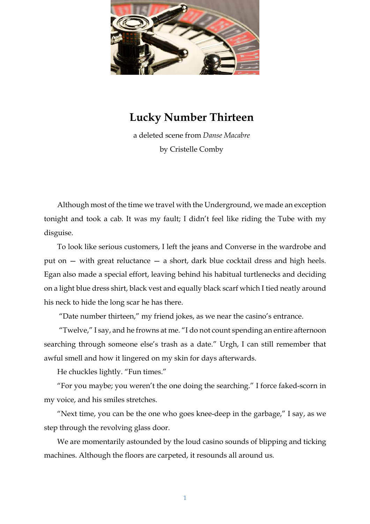

## **Lucky Number Thirteen**

a deleted scene from *Danse Macabre* by Cristelle Comby

Although most of the time we travel with the Underground, we made an exception tonight and took a cab. It was my fault; I didn't feel like riding the Tube with my disguise.

To look like serious customers, I left the jeans and Converse in the wardrobe and put on — with great reluctance — a short, dark blue cocktail dress and high heels. Egan also made a special effort, leaving behind his habitual turtlenecks and deciding on a light blue dress shirt, black vest and equally black scarf which I tied neatly around his neck to hide the long scar he has there.

"Date number thirteen," my friend jokes, as we near the casino's entrance.

 "Twelve," I say, and he frowns at me. "I do not count spending an entire afternoon searching through someone else's trash as a date." Urgh, I can still remember that awful smell and how it lingered on my skin for days afterwards.

He chuckles lightly. "Fun times."

"For you maybe; you weren't the one doing the searching." I force faked-scorn in my voice, and his smiles stretches.

"Next time, you can be the one who goes knee-deep in the garbage," I say, as we step through the revolving glass door.

We are momentarily astounded by the loud casino sounds of blipping and ticking machines. Although the floors are carpeted, it resounds all around us.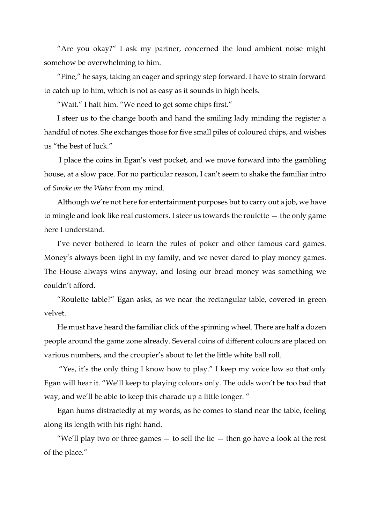"Are you okay?" I ask my partner, concerned the loud ambient noise might somehow be overwhelming to him.

"Fine," he says, taking an eager and springy step forward. I have to strain forward to catch up to him, which is not as easy as it sounds in high heels.

"Wait." I halt him. "We need to get some chips first."

I steer us to the change booth and hand the smiling lady minding the register a handful of notes. She exchanges those for five small piles of coloured chips, and wishes us "the best of luck."

 I place the coins in Egan's vest pocket, and we move forward into the gambling house, at a slow pace. For no particular reason, I can't seem to shake the familiar intro of *Smoke on the Water* from my mind.

Although we're not here for entertainment purposes but to carry out a job, we have to mingle and look like real customers. I steer us towards the roulette — the only game here I understand.

I've never bothered to learn the rules of poker and other famous card games. Money's always been tight in my family, and we never dared to play money games. The House always wins anyway, and losing our bread money was something we couldn't afford.

"Roulette table?" Egan asks, as we near the rectangular table, covered in green velvet.

He must have heard the familiar click of the spinning wheel. There are half a dozen people around the game zone already. Several coins of different colours are placed on various numbers, and the croupier's about to let the little white ball roll.

"Yes, it's the only thing I know how to play." I keep my voice low so that only Egan will hear it. "We'll keep to playing colours only. The odds won't be too bad that way, and we'll be able to keep this charade up a little longer. "

Egan hums distractedly at my words, as he comes to stand near the table, feeling along its length with his right hand.

"We'll play two or three games  $-$  to sell the lie  $-$  then go have a look at the rest of the place."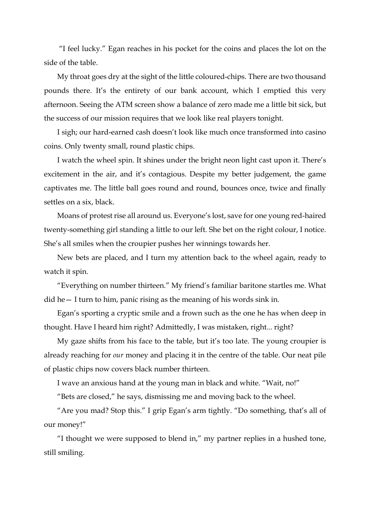"I feel lucky." Egan reaches in his pocket for the coins and places the lot on the side of the table.

My throat goes dry at the sight of the little coloured-chips. There are two thousand pounds there. It's the entirety of our bank account, which I emptied this very afternoon. Seeing the ATM screen show a balance of zero made me a little bit sick, but the success of our mission requires that we look like real players tonight.

I sigh; our hard-earned cash doesn't look like much once transformed into casino coins. Only twenty small, round plastic chips.

I watch the wheel spin. It shines under the bright neon light cast upon it. There's excitement in the air, and it's contagious. Despite my better judgement, the game captivates me. The little ball goes round and round, bounces once, twice and finally settles on a six, black.

Moans of protest rise all around us. Everyone's lost, save for one young red-haired twenty-something girl standing a little to our left. She bet on the right colour, I notice. She's all smiles when the croupier pushes her winnings towards her.

New bets are placed, and I turn my attention back to the wheel again, ready to watch it spin.

"Everything on number thirteen." My friend's familiar baritone startles me. What did he— I turn to him, panic rising as the meaning of his words sink in.

Egan's sporting a cryptic smile and a frown such as the one he has when deep in thought. Have I heard him right? Admittedly, I was mistaken, right... right?

My gaze shifts from his face to the table, but it's too late. The young croupier is already reaching for *our* money and placing it in the centre of the table. Our neat pile of plastic chips now covers black number thirteen.

I wave an anxious hand at the young man in black and white. "Wait, no!"

"Bets are closed," he says, dismissing me and moving back to the wheel.

"Are you mad? Stop this." I grip Egan's arm tightly. "Do something, that's all of our money!"

"I thought we were supposed to blend in," my partner replies in a hushed tone, still smiling.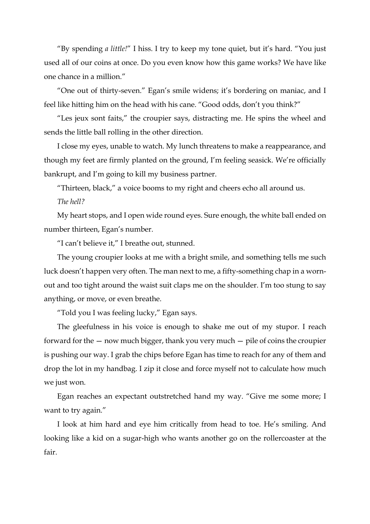"By spending *a little!*" I hiss. I try to keep my tone quiet, but it's hard. "You just used all of our coins at once. Do you even know how this game works? We have like one chance in a million."

"One out of thirty-seven." Egan's smile widens; it's bordering on maniac, and I feel like hitting him on the head with his cane. "Good odds, don't you think?"

"Les jeux sont faits," the croupier says, distracting me. He spins the wheel and sends the little ball rolling in the other direction.

I close my eyes, unable to watch. My lunch threatens to make a reappearance, and though my feet are firmly planted on the ground, I'm feeling seasick. We're officially bankrupt, and I'm going to kill my business partner.

"Thirteen, black," a voice booms to my right and cheers echo all around us.

*The hell?*

My heart stops, and I open wide round eyes. Sure enough, the white ball ended on number thirteen, Egan's number.

"I can't believe it," I breathe out, stunned.

The young croupier looks at me with a bright smile, and something tells me such luck doesn't happen very often. The man next to me, a fifty-something chap in a wornout and too tight around the waist suit claps me on the shoulder. I'm too stung to say anything, or move, or even breathe.

"Told you I was feeling lucky," Egan says.

The gleefulness in his voice is enough to shake me out of my stupor. I reach forward for the — now much bigger, thank you very much — pile of coins the croupier is pushing our way. I grab the chips before Egan has time to reach for any of them and drop the lot in my handbag. I zip it close and force myself not to calculate how much we just won.

Egan reaches an expectant outstretched hand my way. "Give me some more; I want to try again."

I look at him hard and eye him critically from head to toe. He's smiling. And looking like a kid on a sugar-high who wants another go on the rollercoaster at the fair.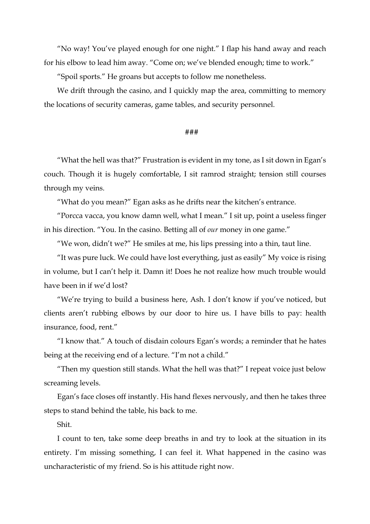"No way! You've played enough for one night." I flap his hand away and reach for his elbow to lead him away. "Come on; we've blended enough; time to work."

"Spoil sports." He groans but accepts to follow me nonetheless.

We drift through the casino, and I quickly map the area, committing to memory the locations of security cameras, game tables, and security personnel.

## ###

"What the hell was that?" Frustration is evident in my tone, as I sit down in Egan's couch. Though it is hugely comfortable, I sit ramrod straight; tension still courses through my veins.

"What do you mean?" Egan asks as he drifts near the kitchen's entrance.

"Porcca vacca, you know damn well, what I mean." I sit up, point a useless finger in his direction. "You. In the casino. Betting all of *our* money in one game."

"We won, didn't we?" He smiles at me, his lips pressing into a thin, taut line.

"It was pure luck. We could have lost everything, just as easily" My voice is rising in volume, but I can't help it. Damn it! Does he not realize how much trouble would have been in if we'd lost?

"We're trying to build a business here, Ash. I don't know if you've noticed, but clients aren't rubbing elbows by our door to hire us. I have bills to pay: health insurance, food, rent."

"I know that." A touch of disdain colours Egan's words; a reminder that he hates being at the receiving end of a lecture. "I'm not a child."

"Then my question still stands. What the hell was that?" I repeat voice just below screaming levels.

Egan's face closes off instantly. His hand flexes nervously, and then he takes three steps to stand behind the table, his back to me.

Shit.

I count to ten, take some deep breaths in and try to look at the situation in its entirety. I'm missing something, I can feel it. What happened in the casino was uncharacteristic of my friend. So is his attitude right now.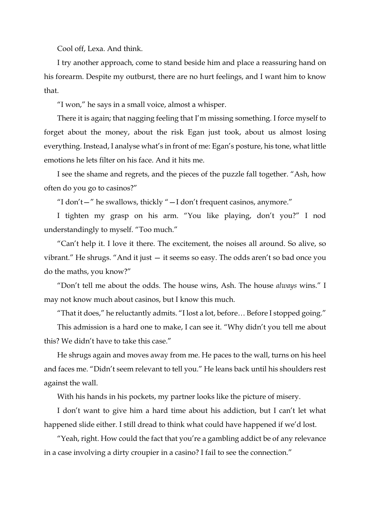Cool off, Lexa. And think.

I try another approach, come to stand beside him and place a reassuring hand on his forearm. Despite my outburst, there are no hurt feelings, and I want him to know that.

"I won," he says in a small voice, almost a whisper.

There it is again; that nagging feeling that I'm missing something. I force myself to forget about the money, about the risk Egan just took, about us almost losing everything. Instead, I analyse what's in front of me: Egan's posture, his tone, what little emotions he lets filter on his face. And it hits me.

I see the shame and regrets, and the pieces of the puzzle fall together. "Ash, how often do you go to casinos?"

"I don't  $-$ " he swallows, thickly " $-$ I don't frequent casinos, anymore."

I tighten my grasp on his arm. "You like playing, don't you?" I nod understandingly to myself. "Too much."

"Can't help it. I love it there. The excitement, the noises all around. So alive, so vibrant." He shrugs. "And it just — it seems so easy. The odds aren't so bad once you do the maths, you know?"

"Don't tell me about the odds. The house wins, Ash. The house *always* wins." I may not know much about casinos, but I know this much.

"That it does," he reluctantly admits. "I lost a lot, before… Before I stopped going."

This admission is a hard one to make, I can see it. "Why didn't you tell me about this? We didn't have to take this case."

He shrugs again and moves away from me. He paces to the wall, turns on his heel and faces me. "Didn't seem relevant to tell you." He leans back until his shoulders rest against the wall.

With his hands in his pockets, my partner looks like the picture of misery.

I don't want to give him a hard time about his addiction, but I can't let what happened slide either. I still dread to think what could have happened if we'd lost.

"Yeah, right. How could the fact that you're a gambling addict be of any relevance in a case involving a dirty croupier in a casino? I fail to see the connection."